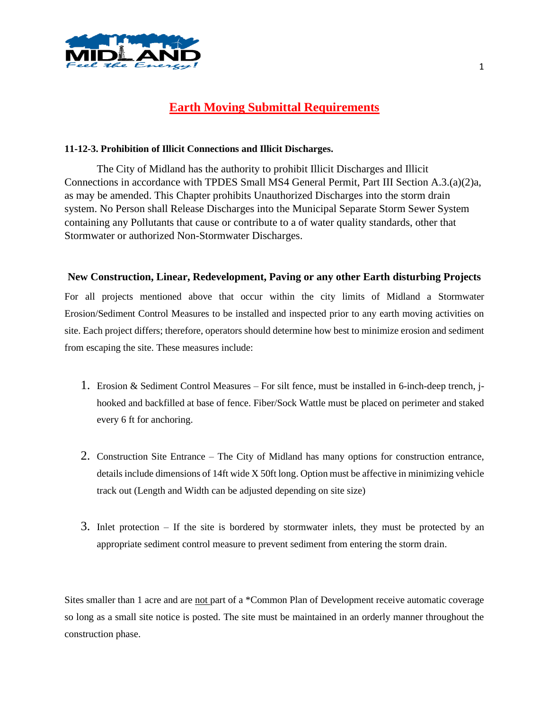

## **Earth Moving Submittal Requirements**

## **11-12-3. Prohibition of Illicit Connections and Illicit Discharges.**

The City of Midland has the authority to prohibit Illicit Discharges and Illicit Connections in accordance with TPDES Small MS4 General Permit, Part III Section A.3.(a)(2)a, as may be amended. This Chapter prohibits Unauthorized Discharges into the storm drain system. No Person shall Release Discharges into the Municipal Separate Storm Sewer System containing any Pollutants that cause or contribute to a of water quality standards, other that Stormwater or authorized Non-Stormwater Discharges.

## **New Construction, Linear, Redevelopment, Paving or any other Earth disturbing Projects**

For all projects mentioned above that occur within the city limits of Midland a Stormwater Erosion/Sediment Control Measures to be installed and inspected prior to any earth moving activities on site. Each project differs; therefore, operators should determine how best to minimize erosion and sediment from escaping the site. These measures include:

- 1. Erosion & Sediment Control Measures For silt fence, must be installed in 6-inch-deep trench, jhooked and backfilled at base of fence. Fiber/Sock Wattle must be placed on perimeter and staked every 6 ft for anchoring.
- 2. Construction Site Entrance The City of Midland has many options for construction entrance, details include dimensions of 14ft wide X 50ft long. Option must be affective in minimizing vehicle track out (Length and Width can be adjusted depending on site size)
- 3. Inlet protection If the site is bordered by stormwater inlets, they must be protected by an appropriate sediment control measure to prevent sediment from entering the storm drain.

Sites smaller than 1 acre and are not part of a \*Common Plan of Development receive automatic coverage so long as a small site notice is posted. The site must be maintained in an orderly manner throughout the construction phase.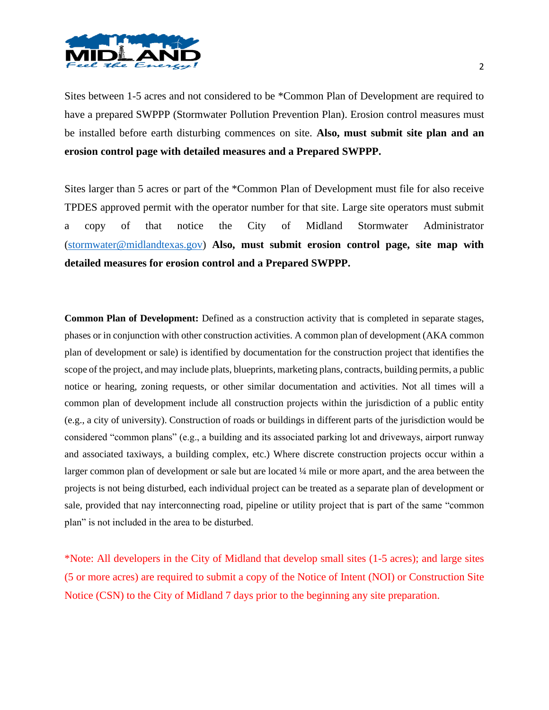

Sites between 1-5 acres and not considered to be \*Common Plan of Development are required to have a prepared SWPPP (Stormwater Pollution Prevention Plan). Erosion control measures must be installed before earth disturbing commences on site. **Also, must submit site plan and an erosion control page with detailed measures and a Prepared SWPPP.** 

Sites larger than 5 acres or part of the \*Common Plan of Development must file for also receive TPDES approved permit with the operator number for that site. Large site operators must submit a copy of that notice the City of Midland Stormwater Administrator [\(stormwater@midlandtexas.gov\)](mailto:stormwater@midlandtexas.gov) **Also, must submit erosion control page, site map with detailed measures for erosion control and a Prepared SWPPP.** 

**Common Plan of Development:** Defined as a construction activity that is completed in separate stages, phases or in conjunction with other construction activities. A common plan of development (AKA common plan of development or sale) is identified by documentation for the construction project that identifies the scope of the project, and may include plats, blueprints, marketing plans, contracts, building permits, a public notice or hearing, zoning requests, or other similar documentation and activities. Not all times will a common plan of development include all construction projects within the jurisdiction of a public entity (e.g., a city of university). Construction of roads or buildings in different parts of the jurisdiction would be considered "common plans" (e.g., a building and its associated parking lot and driveways, airport runway and associated taxiways, a building complex, etc.) Where discrete construction projects occur within a larger common plan of development or sale but are located ¼ mile or more apart, and the area between the projects is not being disturbed, each individual project can be treated as a separate plan of development or sale, provided that nay interconnecting road, pipeline or utility project that is part of the same "common plan" is not included in the area to be disturbed.

\*Note: All developers in the City of Midland that develop small sites (1-5 acres); and large sites (5 or more acres) are required to submit a copy of the Notice of Intent (NOI) or Construction Site Notice (CSN) to the City of Midland 7 days prior to the beginning any site preparation.